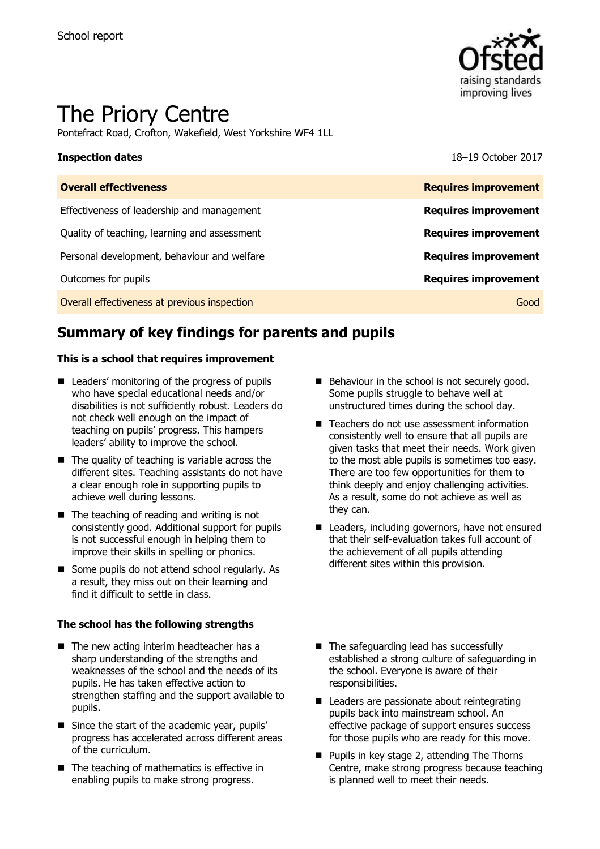

# The Priory Centre

Pontefract Road, Crofton, Wakefield, West Yorkshire WF4 1LL

**Inspection dates** 18–19 October 2017

| <b>Overall effectiveness</b>                 | <b>Requires improvement</b> |
|----------------------------------------------|-----------------------------|
| Effectiveness of leadership and management   | <b>Requires improvement</b> |
| Quality of teaching, learning and assessment | <b>Requires improvement</b> |
| Personal development, behaviour and welfare  | <b>Requires improvement</b> |
| Outcomes for pupils                          | <b>Requires improvement</b> |
| Overall effectiveness at previous inspection | Good                        |

# **Summary of key findings for parents and pupils**

### **This is a school that requires improvement**

- Leaders' monitoring of the progress of pupils who have special educational needs and/or disabilities is not sufficiently robust. Leaders do not check well enough on the impact of teaching on pupils' progress. This hampers leaders' ability to improve the school.
- $\blacksquare$  The quality of teaching is variable across the different sites. Teaching assistants do not have a clear enough role in supporting pupils to achieve well during lessons.
- $\blacksquare$  The teaching of reading and writing is not consistently good. Additional support for pupils is not successful enough in helping them to improve their skills in spelling or phonics.
- Some pupils do not attend school regularly. As a result, they miss out on their learning and find it difficult to settle in class.

### **The school has the following strengths**

- The new acting interim headteacher has a sharp understanding of the strengths and weaknesses of the school and the needs of its pupils. He has taken effective action to strengthen staffing and the support available to pupils.
- Since the start of the academic year, pupils' progress has accelerated across different areas of the curriculum.
- $\blacksquare$  The teaching of mathematics is effective in enabling pupils to make strong progress.
- Behaviour in the school is not securely good. Some pupils struggle to behave well at unstructured times during the school day.
- Teachers do not use assessment information consistently well to ensure that all pupils are given tasks that meet their needs. Work given to the most able pupils is sometimes too easy. There are too few opportunities for them to think deeply and enjoy challenging activities. As a result, some do not achieve as well as they can.
- Leaders, including governors, have not ensured that their self-evaluation takes full account of the achievement of all pupils attending different sites within this provision.
- The safeguarding lead has successfully established a strong culture of safeguarding in the school. Everyone is aware of their responsibilities.
- Leaders are passionate about reintegrating pupils back into mainstream school. An effective package of support ensures success for those pupils who are ready for this move.
- **Pupils in key stage 2, attending The Thorns** Centre, make strong progress because teaching is planned well to meet their needs.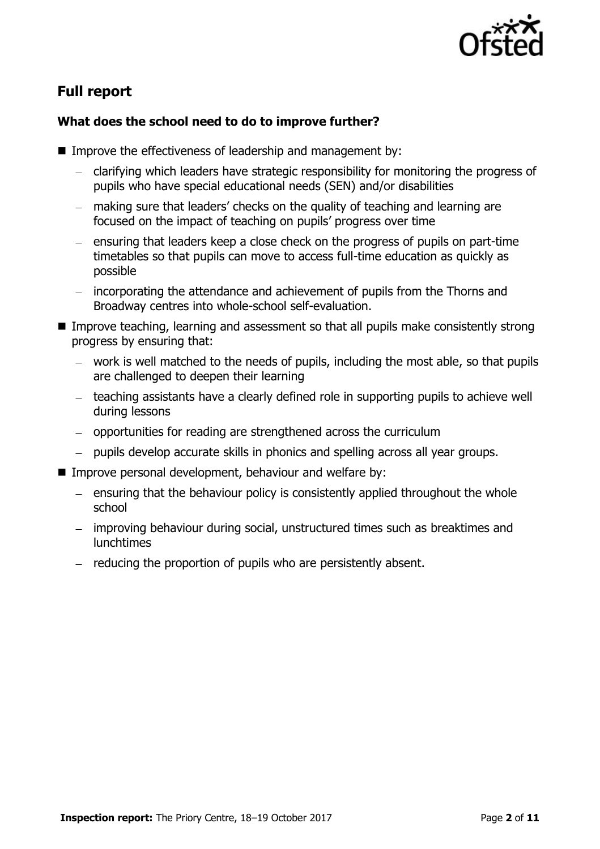

# **Full report**

### **What does the school need to do to improve further?**

- Improve the effectiveness of leadership and management by:
	- clarifying which leaders have strategic responsibility for monitoring the progress of pupils who have special educational needs (SEN) and/or disabilities
	- making sure that leaders' checks on the quality of teaching and learning are focused on the impact of teaching on pupils' progress over time
	- $-$  ensuring that leaders keep a close check on the progress of pupils on part-time timetables so that pupils can move to access full-time education as quickly as possible
	- incorporating the attendance and achievement of pupils from the Thorns and Broadway centres into whole-school self-evaluation.
- **IMPROVE THE Improve teaching, learning and assessment so that all pupils make consistently strong** progress by ensuring that:
	- work is well matched to the needs of pupils, including the most able, so that pupils are challenged to deepen their learning
	- teaching assistants have a clearly defined role in supporting pupils to achieve well during lessons
	- opportunities for reading are strengthened across the curriculum
	- pupils develop accurate skills in phonics and spelling across all year groups.
- Improve personal development, behaviour and welfare by:
	- $-$  ensuring that the behaviour policy is consistently applied throughout the whole school
	- improving behaviour during social, unstructured times such as breaktimes and lunchtimes
	- $-$  reducing the proportion of pupils who are persistently absent.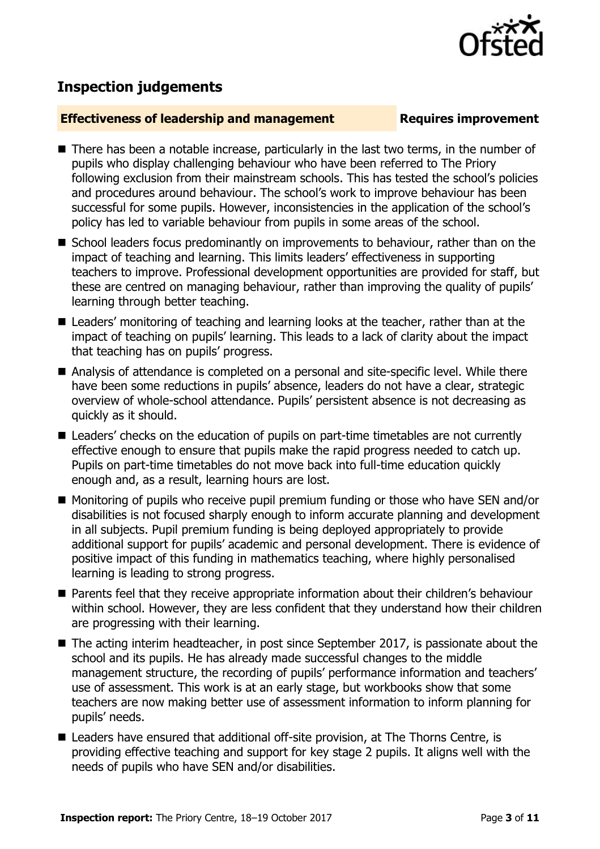# **Inspection judgements**

### **Effectiveness of leadership and management Requires improvement**

- There has been a notable increase, particularly in the last two terms, in the number of pupils who display challenging behaviour who have been referred to The Priory following exclusion from their mainstream schools. This has tested the school's policies and procedures around behaviour. The school's work to improve behaviour has been successful for some pupils. However, inconsistencies in the application of the school's policy has led to variable behaviour from pupils in some areas of the school.
- School leaders focus predominantly on improvements to behaviour, rather than on the impact of teaching and learning. This limits leaders' effectiveness in supporting teachers to improve. Professional development opportunities are provided for staff, but these are centred on managing behaviour, rather than improving the quality of pupils' learning through better teaching.
- Leaders' monitoring of teaching and learning looks at the teacher, rather than at the impact of teaching on pupils' learning. This leads to a lack of clarity about the impact that teaching has on pupils' progress.
- Analysis of attendance is completed on a personal and site-specific level. While there have been some reductions in pupils' absence, leaders do not have a clear, strategic overview of whole-school attendance. Pupils' persistent absence is not decreasing as quickly as it should.
- Leaders' checks on the education of pupils on part-time timetables are not currently effective enough to ensure that pupils make the rapid progress needed to catch up. Pupils on part-time timetables do not move back into full-time education quickly enough and, as a result, learning hours are lost.
- Monitoring of pupils who receive pupil premium funding or those who have SEN and/or disabilities is not focused sharply enough to inform accurate planning and development in all subjects. Pupil premium funding is being deployed appropriately to provide additional support for pupils' academic and personal development. There is evidence of positive impact of this funding in mathematics teaching, where highly personalised learning is leading to strong progress.
- **Parents feel that they receive appropriate information about their children's behaviour** within school. However, they are less confident that they understand how their children are progressing with their learning.
- The acting interim headteacher, in post since September 2017, is passionate about the school and its pupils. He has already made successful changes to the middle management structure, the recording of pupils' performance information and teachers' use of assessment. This work is at an early stage, but workbooks show that some teachers are now making better use of assessment information to inform planning for pupils' needs.
- Leaders have ensured that additional off-site provision, at The Thorns Centre, is providing effective teaching and support for key stage 2 pupils. It aligns well with the needs of pupils who have SEN and/or disabilities.

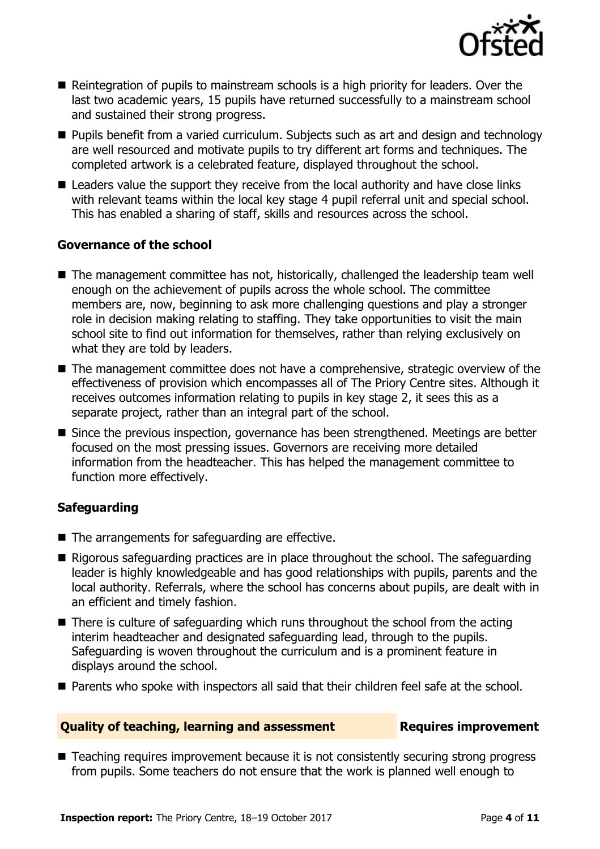

- Reintegration of pupils to mainstream schools is a high priority for leaders. Over the last two academic years, 15 pupils have returned successfully to a mainstream school and sustained their strong progress.
- **Pupils benefit from a varied curriculum. Subjects such as art and design and technology** are well resourced and motivate pupils to try different art forms and techniques. The completed artwork is a celebrated feature, displayed throughout the school.
- Leaders value the support they receive from the local authority and have close links with relevant teams within the local key stage 4 pupil referral unit and special school. This has enabled a sharing of staff, skills and resources across the school.

### **Governance of the school**

- The management committee has not, historically, challenged the leadership team well enough on the achievement of pupils across the whole school. The committee members are, now, beginning to ask more challenging questions and play a stronger role in decision making relating to staffing. They take opportunities to visit the main school site to find out information for themselves, rather than relying exclusively on what they are told by leaders.
- The management committee does not have a comprehensive, strategic overview of the effectiveness of provision which encompasses all of The Priory Centre sites. Although it receives outcomes information relating to pupils in key stage 2, it sees this as a separate project, rather than an integral part of the school.
- Since the previous inspection, governance has been strengthened. Meetings are better focused on the most pressing issues. Governors are receiving more detailed information from the headteacher. This has helped the management committee to function more effectively.

### **Safeguarding**

- $\blacksquare$  The arrangements for safeguarding are effective.
- $\blacksquare$  Rigorous safeguarding practices are in place throughout the school. The safeguarding leader is highly knowledgeable and has good relationships with pupils, parents and the local authority. Referrals, where the school has concerns about pupils, are dealt with in an efficient and timely fashion.
- There is culture of safeguarding which runs throughout the school from the acting interim headteacher and designated safeguarding lead, through to the pupils. Safeguarding is woven throughout the curriculum and is a prominent feature in displays around the school.
- Parents who spoke with inspectors all said that their children feel safe at the school.

### **Quality of teaching, learning and assessment Requires improvement**

■ Teaching requires improvement because it is not consistently securing strong progress from pupils. Some teachers do not ensure that the work is planned well enough to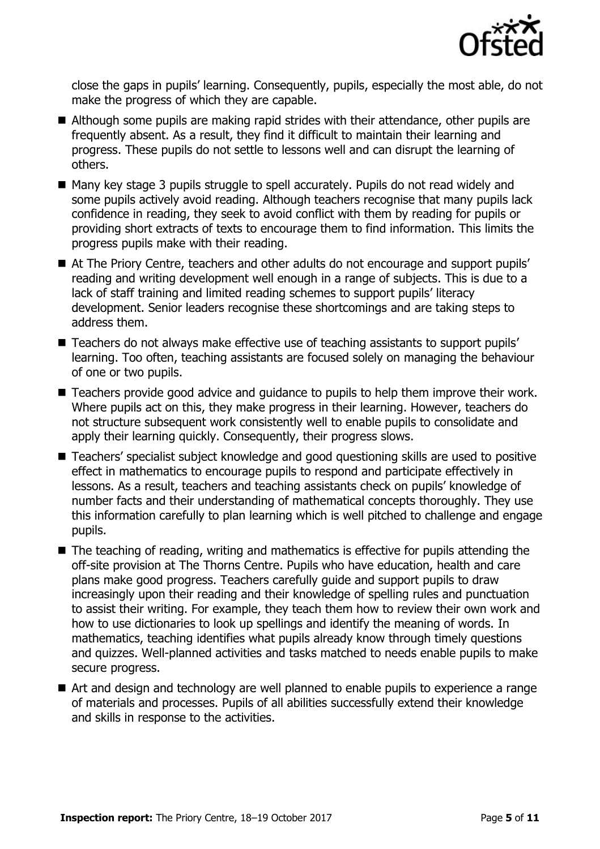

close the gaps in pupils' learning. Consequently, pupils, especially the most able, do not make the progress of which they are capable.

- Although some pupils are making rapid strides with their attendance, other pupils are frequently absent. As a result, they find it difficult to maintain their learning and progress. These pupils do not settle to lessons well and can disrupt the learning of others.
- Many key stage 3 pupils struggle to spell accurately. Pupils do not read widely and some pupils actively avoid reading. Although teachers recognise that many pupils lack confidence in reading, they seek to avoid conflict with them by reading for pupils or providing short extracts of texts to encourage them to find information. This limits the progress pupils make with their reading.
- At The Priory Centre, teachers and other adults do not encourage and support pupils' reading and writing development well enough in a range of subjects. This is due to a lack of staff training and limited reading schemes to support pupils' literacy development. Senior leaders recognise these shortcomings and are taking steps to address them.
- Teachers do not always make effective use of teaching assistants to support pupils' learning. Too often, teaching assistants are focused solely on managing the behaviour of one or two pupils.
- Teachers provide good advice and guidance to pupils to help them improve their work. Where pupils act on this, they make progress in their learning. However, teachers do not structure subsequent work consistently well to enable pupils to consolidate and apply their learning quickly. Consequently, their progress slows.
- Teachers' specialist subject knowledge and good questioning skills are used to positive effect in mathematics to encourage pupils to respond and participate effectively in lessons. As a result, teachers and teaching assistants check on pupils' knowledge of number facts and their understanding of mathematical concepts thoroughly. They use this information carefully to plan learning which is well pitched to challenge and engage pupils.
- The teaching of reading, writing and mathematics is effective for pupils attending the off-site provision at The Thorns Centre. Pupils who have education, health and care plans make good progress. Teachers carefully guide and support pupils to draw increasingly upon their reading and their knowledge of spelling rules and punctuation to assist their writing. For example, they teach them how to review their own work and how to use dictionaries to look up spellings and identify the meaning of words. In mathematics, teaching identifies what pupils already know through timely questions and quizzes. Well-planned activities and tasks matched to needs enable pupils to make secure progress.
- Art and design and technology are well planned to enable pupils to experience a range of materials and processes. Pupils of all abilities successfully extend their knowledge and skills in response to the activities.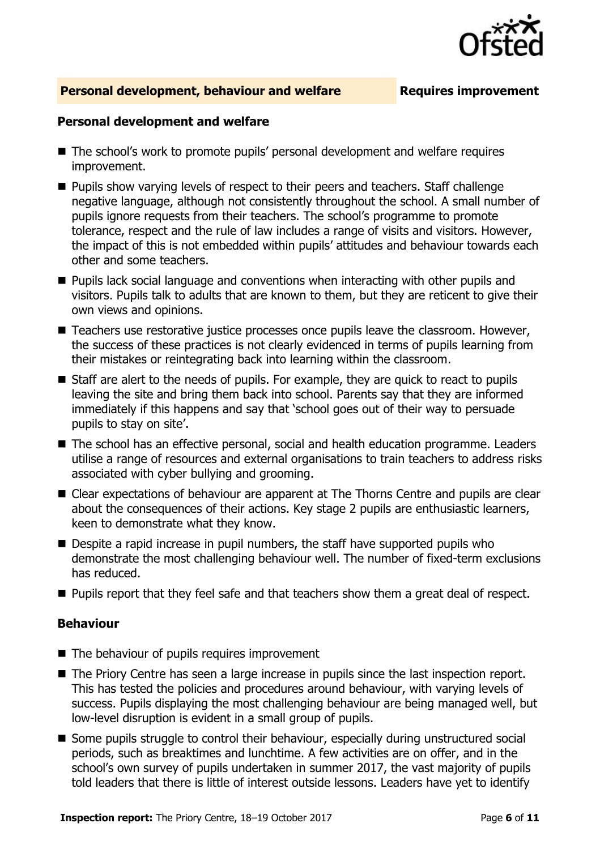

### **Personal development, behaviour and welfare <b>Requires improvement**

### **Personal development and welfare**

- The school's work to promote pupils' personal development and welfare requires improvement.
- **Pupils show varying levels of respect to their peers and teachers. Staff challenge** negative language, although not consistently throughout the school. A small number of pupils ignore requests from their teachers. The school's programme to promote tolerance, respect and the rule of law includes a range of visits and visitors. However, the impact of this is not embedded within pupils' attitudes and behaviour towards each other and some teachers.
- $\blacksquare$  Pupils lack social language and conventions when interacting with other pupils and visitors. Pupils talk to adults that are known to them, but they are reticent to give their own views and opinions.
- Teachers use restorative justice processes once pupils leave the classroom. However, the success of these practices is not clearly evidenced in terms of pupils learning from their mistakes or reintegrating back into learning within the classroom.
- Staff are alert to the needs of pupils. For example, they are quick to react to pupils leaving the site and bring them back into school. Parents say that they are informed immediately if this happens and say that 'school goes out of their way to persuade pupils to stay on site'.
- The school has an effective personal, social and health education programme. Leaders utilise a range of resources and external organisations to train teachers to address risks associated with cyber bullying and grooming.
- Clear expectations of behaviour are apparent at The Thorns Centre and pupils are clear about the consequences of their actions. Key stage 2 pupils are enthusiastic learners, keen to demonstrate what they know.
- Despite a rapid increase in pupil numbers, the staff have supported pupils who demonstrate the most challenging behaviour well. The number of fixed-term exclusions has reduced.
- **Pupils report that they feel safe and that teachers show them a great deal of respect.**

### **Behaviour**

- $\blacksquare$  The behaviour of pupils requires improvement
- The Priory Centre has seen a large increase in pupils since the last inspection report. This has tested the policies and procedures around behaviour, with varying levels of success. Pupils displaying the most challenging behaviour are being managed well, but low-level disruption is evident in a small group of pupils.
- **Some pupils struggle to control their behaviour, especially during unstructured social** periods, such as breaktimes and lunchtime. A few activities are on offer, and in the school's own survey of pupils undertaken in summer 2017, the vast majority of pupils told leaders that there is little of interest outside lessons. Leaders have yet to identify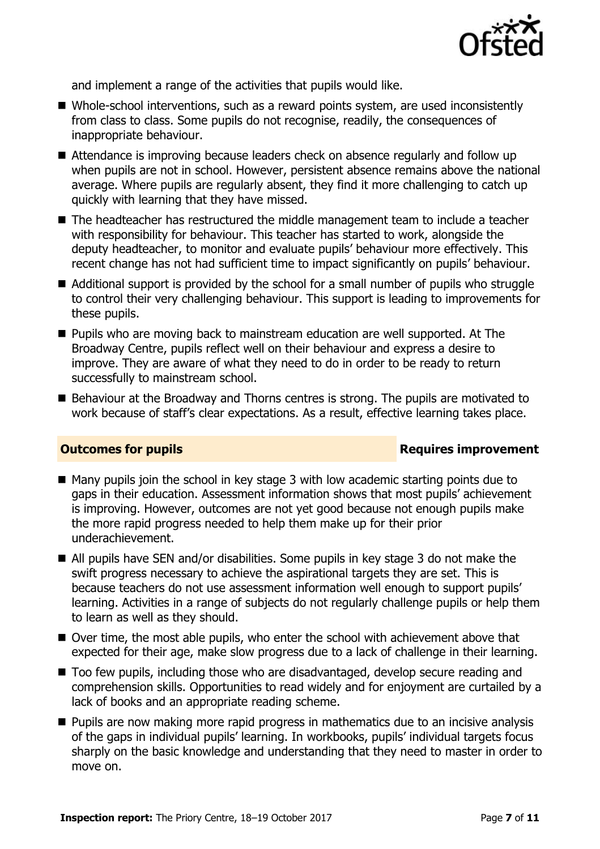

and implement a range of the activities that pupils would like.

- Whole-school interventions, such as a reward points system, are used inconsistently from class to class. Some pupils do not recognise, readily, the consequences of inappropriate behaviour.
- Attendance is improving because leaders check on absence regularly and follow up when pupils are not in school. However, persistent absence remains above the national average. Where pupils are regularly absent, they find it more challenging to catch up quickly with learning that they have missed.
- The headteacher has restructured the middle management team to include a teacher with responsibility for behaviour. This teacher has started to work, alongside the deputy headteacher, to monitor and evaluate pupils' behaviour more effectively. This recent change has not had sufficient time to impact significantly on pupils' behaviour.
- Additional support is provided by the school for a small number of pupils who struggle to control their very challenging behaviour. This support is leading to improvements for these pupils.
- **Pupils who are moving back to mainstream education are well supported. At The** Broadway Centre, pupils reflect well on their behaviour and express a desire to improve. They are aware of what they need to do in order to be ready to return successfully to mainstream school.
- Behaviour at the Broadway and Thorns centres is strong. The pupils are motivated to work because of staff's clear expectations. As a result, effective learning takes place.

### **Outcomes for pupils Requires improvement**

- $\blacksquare$  Many pupils join the school in key stage 3 with low academic starting points due to gaps in their education. Assessment information shows that most pupils' achievement is improving. However, outcomes are not yet good because not enough pupils make the more rapid progress needed to help them make up for their prior underachievement.
- All pupils have SEN and/or disabilities. Some pupils in key stage 3 do not make the swift progress necessary to achieve the aspirational targets they are set. This is because teachers do not use assessment information well enough to support pupils' learning. Activities in a range of subjects do not regularly challenge pupils or help them to learn as well as they should.
- Over time, the most able pupils, who enter the school with achievement above that expected for their age, make slow progress due to a lack of challenge in their learning.
- Too few pupils, including those who are disadvantaged, develop secure reading and comprehension skills. Opportunities to read widely and for enjoyment are curtailed by a lack of books and an appropriate reading scheme.
- **Pupils are now making more rapid progress in mathematics due to an incisive analysis** of the gaps in individual pupils' learning. In workbooks, pupils' individual targets focus sharply on the basic knowledge and understanding that they need to master in order to move on.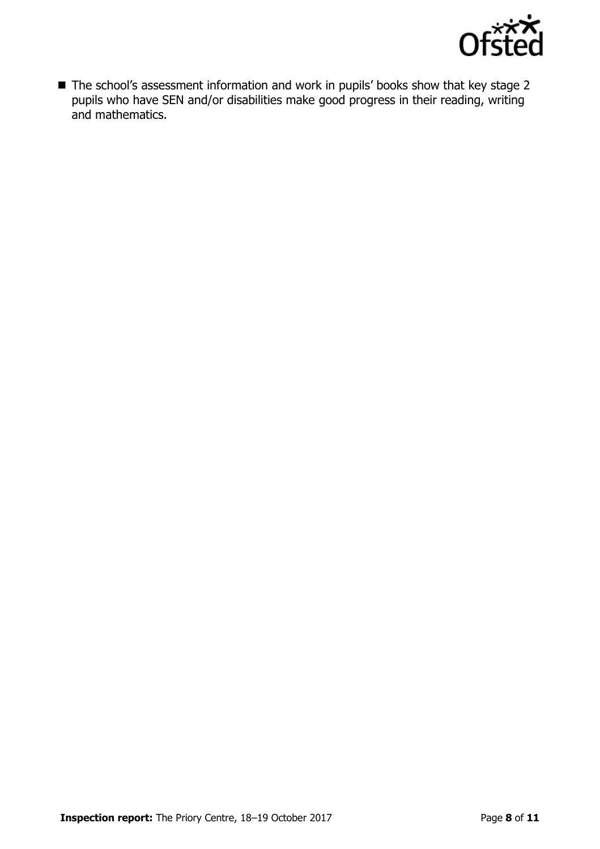

■ The school's assessment information and work in pupils' books show that key stage 2 pupils who have SEN and/or disabilities make good progress in their reading, writing and mathematics.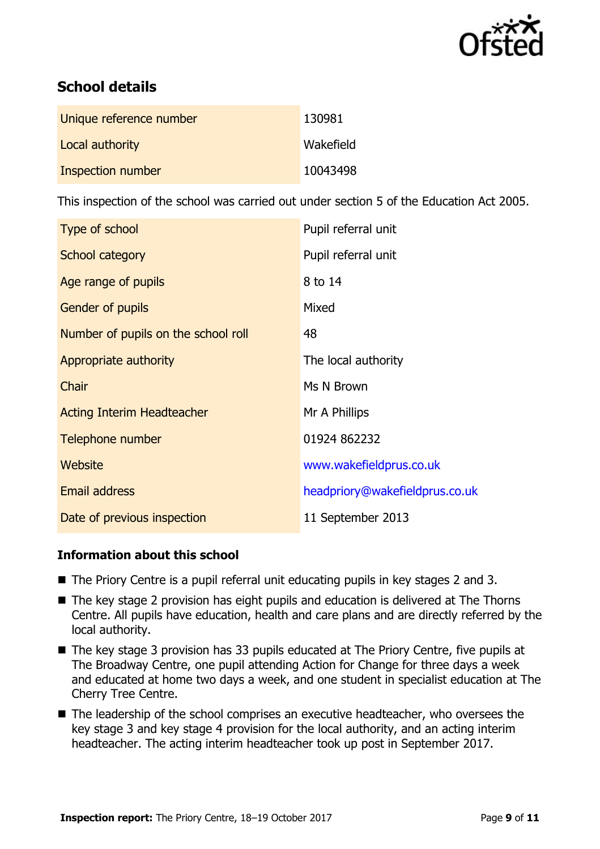

# **School details**

| Unique reference number | 130981    |
|-------------------------|-----------|
| Local authority         | Wakefield |
| Inspection number       | 10043498  |

This inspection of the school was carried out under section 5 of the Education Act 2005.

| Type of school                      | Pupil referral unit            |
|-------------------------------------|--------------------------------|
| School category                     | Pupil referral unit            |
| Age range of pupils                 | 8 to 14                        |
| Gender of pupils                    | Mixed                          |
| Number of pupils on the school roll | 48                             |
| Appropriate authority               | The local authority            |
| Chair                               | Ms N Brown                     |
| <b>Acting Interim Headteacher</b>   | Mr A Phillips                  |
| Telephone number                    | 01924 862232                   |
| Website                             | www.wakefieldprus.co.uk        |
| <b>Email address</b>                | headpriory@wakefieldprus.co.uk |
| Date of previous inspection         | 11 September 2013              |

### **Information about this school**

- The Priory Centre is a pupil referral unit educating pupils in key stages 2 and 3.
- The key stage 2 provision has eight pupils and education is delivered at The Thorns Centre. All pupils have education, health and care plans and are directly referred by the local authority.
- The key stage 3 provision has 33 pupils educated at The Priory Centre, five pupils at The Broadway Centre, one pupil attending Action for Change for three days a week and educated at home two days a week, and one student in specialist education at The Cherry Tree Centre.
- The leadership of the school comprises an executive headteacher, who oversees the key stage 3 and key stage 4 provision for the local authority, and an acting interim headteacher. The acting interim headteacher took up post in September 2017.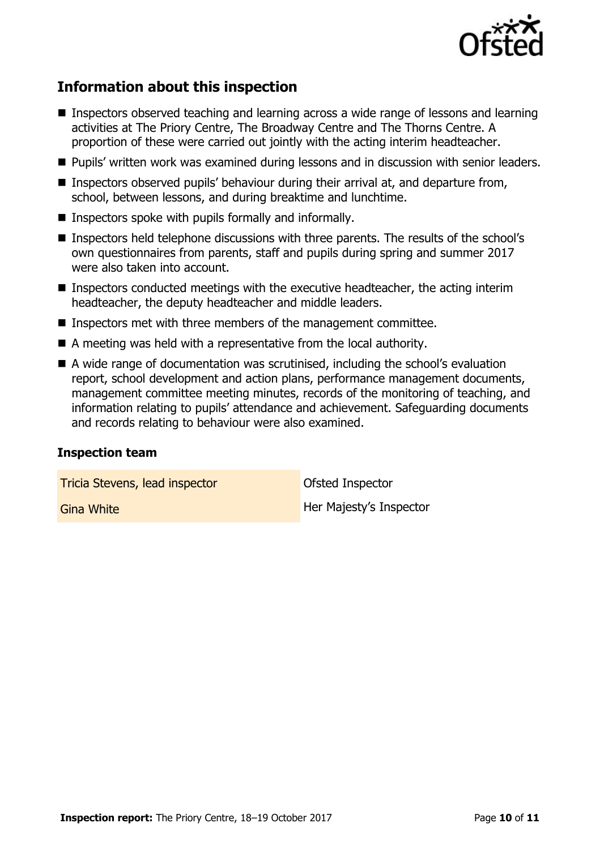

## **Information about this inspection**

- Inspectors observed teaching and learning across a wide range of lessons and learning activities at The Priory Centre, The Broadway Centre and The Thorns Centre. A proportion of these were carried out jointly with the acting interim headteacher.
- **Pupils' written work was examined during lessons and in discussion with senior leaders.**
- Inspectors observed pupils' behaviour during their arrival at, and departure from, school, between lessons, and during breaktime and lunchtime.
- Inspectors spoke with pupils formally and informally.
- Inspectors held telephone discussions with three parents. The results of the school's own questionnaires from parents, staff and pupils during spring and summer 2017 were also taken into account.
- Inspectors conducted meetings with the executive headteacher, the acting interim headteacher, the deputy headteacher and middle leaders.
- Inspectors met with three members of the management committee.
- A meeting was held with a representative from the local authority.
- A wide range of documentation was scrutinised, including the school's evaluation report, school development and action plans, performance management documents, management committee meeting minutes, records of the monitoring of teaching, and information relating to pupils' attendance and achievement. Safeguarding documents and records relating to behaviour were also examined.

### **Inspection team**

Tricia Stevens, lead inspector **Calculate Control** Ofsted Inspector

Gina White **Her Majesty's Inspector**